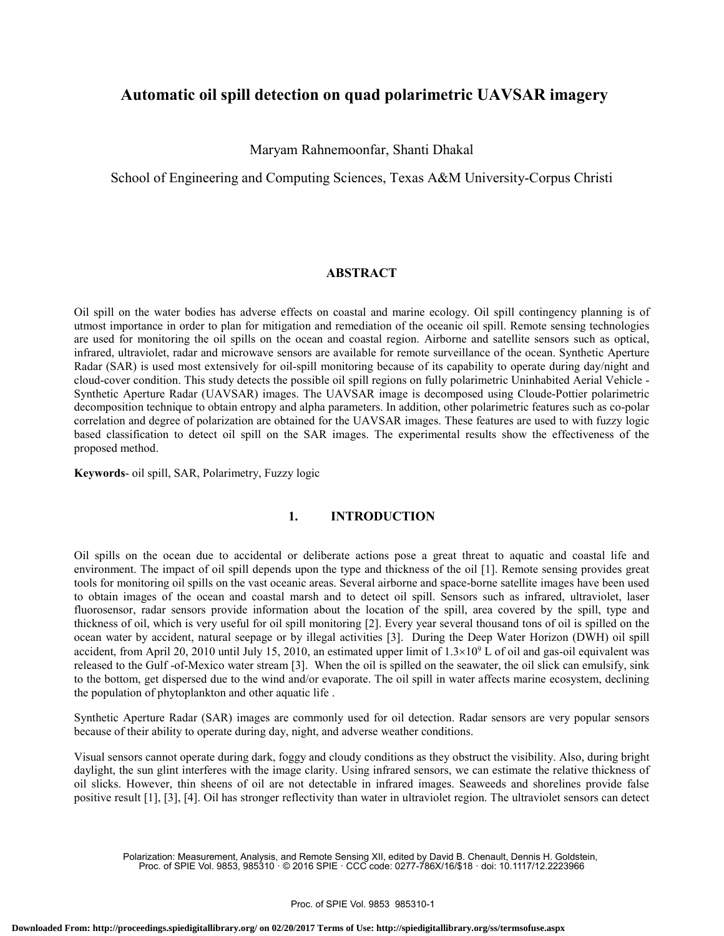# **Automatic oil spill detection on quad polarimetric UAVSAR imagery**

Maryam Rahnemoonfar, Shanti Dhakal

School of Engineering and Computing Sciences, Texas A&M University-Corpus Christi

# **ABSTRACT**

Oil spill on the water bodies has adverse effects on coastal and marine ecology. Oil spill contingency planning is of utmost importance in order to plan for mitigation and remediation of the oceanic oil spill. Remote sensing technologies are used for monitoring the oil spills on the ocean and coastal region. Airborne and satellite sensors such as optical, infrared, ultraviolet, radar and microwave sensors are available for remote surveillance of the ocean. Synthetic Aperture Radar (SAR) is used most extensively for oil-spill monitoring because of its capability to operate during day/night and cloud-cover condition. This study detects the possible oil spill regions on fully polarimetric Uninhabited Aerial Vehicle - Synthetic Aperture Radar (UAVSAR) images. The UAVSAR image is decomposed using Cloude-Pottier polarimetric decomposition technique to obtain entropy and alpha parameters. In addition, other polarimetric features such as co-polar correlation and degree of polarization are obtained for the UAVSAR images. These features are used to with fuzzy logic based classification to detect oil spill on the SAR images. The experimental results show the effectiveness of the proposed method.

**Keywords**- oil spill, SAR, Polarimetry, Fuzzy logic

# **1. INTRODUCTION**

Oil spills on the ocean due to accidental or deliberate actions pose a great threat to aquatic and coastal life and environment. The impact of oil spill depends upon the type and thickness of the oil [1]. Remote sensing provides great tools for monitoring oil spills on the vast oceanic areas. Several airborne and space-borne satellite images have been used to obtain images of the ocean and coastal marsh and to detect oil spill. Sensors such as infrared, ultraviolet, laser fluorosensor, radar sensors provide information about the location of the spill, area covered by the spill, type and thickness of oil, which is very useful for oil spill monitoring [2]. Every year several thousand tons of oil is spilled on the ocean water by accident, natural seepage or by illegal activities [3]. During the Deep Water Horizon (DWH) oil spill accident, from April 20, 2010 until July 15, 2010, an estimated upper limit of  $1.3 \times 10^9$  L of oil and gas-oil equivalent was released to the Gulf -of-Mexico water stream [3]. When the oil is spilled on the seawater, the oil slick can emulsify, sink to the bottom, get dispersed due to the wind and/or evaporate. The oil spill in water affects marine ecosystem, declining the population of phytoplankton and other aquatic life .

Synthetic Aperture Radar (SAR) images are commonly used for oil detection. Radar sensors are very popular sensors because of their ability to operate during day, night, and adverse weather conditions.

Visual sensors cannot operate during dark, foggy and cloudy conditions as they obstruct the visibility. Also, during bright daylight, the sun glint interferes with the image clarity. Using infrared sensors, we can estimate the relative thickness of oil slicks. However, thin sheens of oil are not detectable in infrared images. Seaweeds and shorelines provide false positive result [1], [3], [4]. Oil has stronger reflectivity than water in ultraviolet region. The ultraviolet sensors can detect

Polarization: Measurement, Analysis, and Remote Sensing XII, edited by David B. Chenault, Dennis H. Goldstein, Proc. of SPIE Vol. 9853, 985310 · © 2016 SPIE · CCC code: 0277-786X/16/\$18 · doi: 10.1117/12.2223966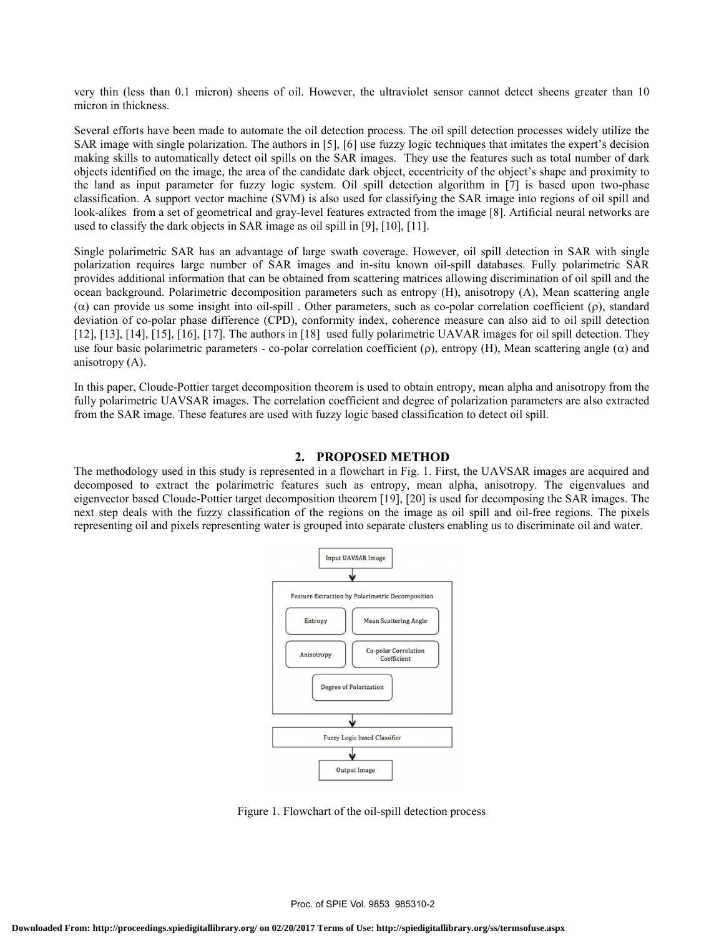very thin (less than 0.1 micron) sheens of oil. However, the ultraviolet sensor cannot detect sheens greater than 10 micron in thickness.

Several efforts have been made to automate the oil detection process. The oil spill detection processes widely utilize the SAR image with single polarization. The authors in [5], [6] use fuzzy logic techniques that imitates the expert's decision making skills to automatically detect oil spills on the SAR images. They use the features such as total number of dark objects identified on the image, the area of the candidate dark object, eccentricity of the object's shape and proximity to the land as input parameter for fuzzy logic system. Oil spill detection algorithm in [7] is based upon two-phase classification. A support vector machine (SVM) is also used for classifying the SAR image into regions of oil spill and look-alikes from a set of geometrical and gray-level features extracted from the image [8]. Artificial neural networks are used to classify the dark objects in SAR image as oil spill in [9], [10], [11].

Single polarimetric SAR has an advantage of large swath coverage. However, oil spill detection in SAR with single polarization requires large number of SAR images and in-situ known oil-spill databases. Fully polarimetric SAR provides additional information that can be obtained from scattering matrices allowing discrimination of oil spill and the ocean background. Polarimetric decomposition parameters such as entropy (H), anisotropy (A), Mean scattering angle  $(\alpha)$  can provide us some insight into oil-spill . Other parameters, such as co-polar correlation coefficient ( $\rho$ ), standard deviation of co-polar phase difference (CPD), conformity index, coherence measure can also aid to oil spill detection [12], [13], [14], [15], [16], [17]. The authors in [18] used fully polarimetric UAVAR images for oil spill detection. They use four basic polarimetric parameters - co-polar correlation coefficient ( $\rho$ ), entropy (H), Mean scattering angle ( $\alpha$ ) and anisotropy (A).

In this paper, Cloude-Pottier target decomposition theorem is used to obtain entropy, mean alpha and anisotropy from the fully polarimetric UAVSAR images. The correlation coefficient and degree of polarization parameters are also extracted from the SAR image. These features are used with fuzzy logic based classification to detect oil spill.

#### **2. PROPOSED METHOD**

The methodology used in this study is represented in a flowchart in Fig. 1. First, the UAVSAR images are acquired and decomposed to extract the polarimetric features such as entropy, mean alpha, anisotropy. The eigenvalues and eigenvector based Cloude-Pottier target decomposition theorem [19], [20] is used for decomposing the SAR images. The next step deals with the fuzzy classification of the regions on the image as oil spill and oil-free regions. The pixels representing oil and pixels representing water is grouped into separate clusters enabling us to discriminate oil and water.



Figure 1. Flowchart of the oil-spill detection process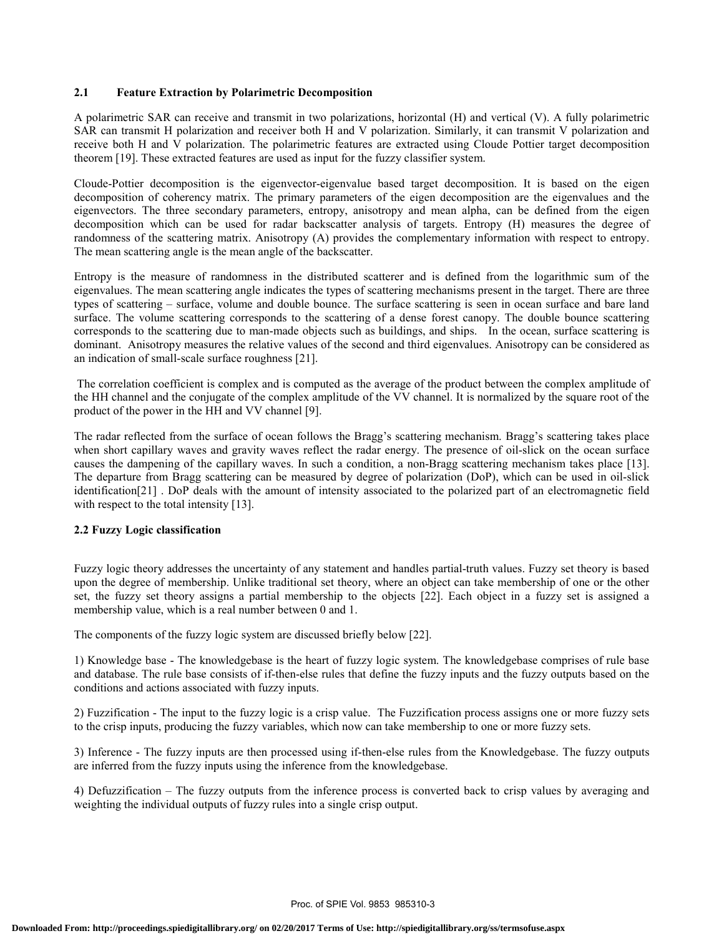#### **2.1 Feature Extraction by Polarimetric Decomposition**

A polarimetric SAR can receive and transmit in two polarizations, horizontal (H) and vertical (V). A fully polarimetric SAR can transmit H polarization and receiver both H and V polarization. Similarly, it can transmit V polarization and receive both H and V polarization. The polarimetric features are extracted using Cloude Pottier target decomposition theorem [19]. These extracted features are used as input for the fuzzy classifier system.

Cloude-Pottier decomposition is the eigenvector-eigenvalue based target decomposition. It is based on the eigen decomposition of coherency matrix. The primary parameters of the eigen decomposition are the eigenvalues and the eigenvectors. The three secondary parameters, entropy, anisotropy and mean alpha, can be defined from the eigen decomposition which can be used for radar backscatter analysis of targets. Entropy (H) measures the degree of randomness of the scattering matrix. Anisotropy (A) provides the complementary information with respect to entropy. The mean scattering angle is the mean angle of the backscatter.

Entropy is the measure of randomness in the distributed scatterer and is defined from the logarithmic sum of the eigenvalues. The mean scattering angle indicates the types of scattering mechanisms present in the target. There are three types of scattering – surface, volume and double bounce. The surface scattering is seen in ocean surface and bare land surface. The volume scattering corresponds to the scattering of a dense forest canopy. The double bounce scattering corresponds to the scattering due to man-made objects such as buildings, and ships. In the ocean, surface scattering is dominant. Anisotropy measures the relative values of the second and third eigenvalues. Anisotropy can be considered as an indication of small-scale surface roughness [21].

 The correlation coefficient is complex and is computed as the average of the product between the complex amplitude of the HH channel and the conjugate of the complex amplitude of the VV channel. It is normalized by the square root of the product of the power in the HH and VV channel [9].

The radar reflected from the surface of ocean follows the Bragg's scattering mechanism. Bragg's scattering takes place when short capillary waves and gravity waves reflect the radar energy. The presence of oil-slick on the ocean surface causes the dampening of the capillary waves. In such a condition, a non-Bragg scattering mechanism takes place [13]. The departure from Bragg scattering can be measured by degree of polarization (DoP), which can be used in oil-slick identification[21] . DoP deals with the amount of intensity associated to the polarized part of an electromagnetic field with respect to the total intensity [13].

# **2.2 Fuzzy Logic classification**

Fuzzy logic theory addresses the uncertainty of any statement and handles partial-truth values. Fuzzy set theory is based upon the degree of membership. Unlike traditional set theory, where an object can take membership of one or the other set, the fuzzy set theory assigns a partial membership to the objects [22]. Each object in a fuzzy set is assigned a membership value, which is a real number between 0 and 1.

The components of the fuzzy logic system are discussed briefly below [22].

1) Knowledge base - The knowledgebase is the heart of fuzzy logic system. The knowledgebase comprises of rule base and database. The rule base consists of if-then-else rules that define the fuzzy inputs and the fuzzy outputs based on the conditions and actions associated with fuzzy inputs.

2) Fuzzification - The input to the fuzzy logic is a crisp value. The Fuzzification process assigns one or more fuzzy sets to the crisp inputs, producing the fuzzy variables, which now can take membership to one or more fuzzy sets.

3) Inference - The fuzzy inputs are then processed using if-then-else rules from the Knowledgebase. The fuzzy outputs are inferred from the fuzzy inputs using the inference from the knowledgebase.

4) Defuzzification – The fuzzy outputs from the inference process is converted back to crisp values by averaging and weighting the individual outputs of fuzzy rules into a single crisp output.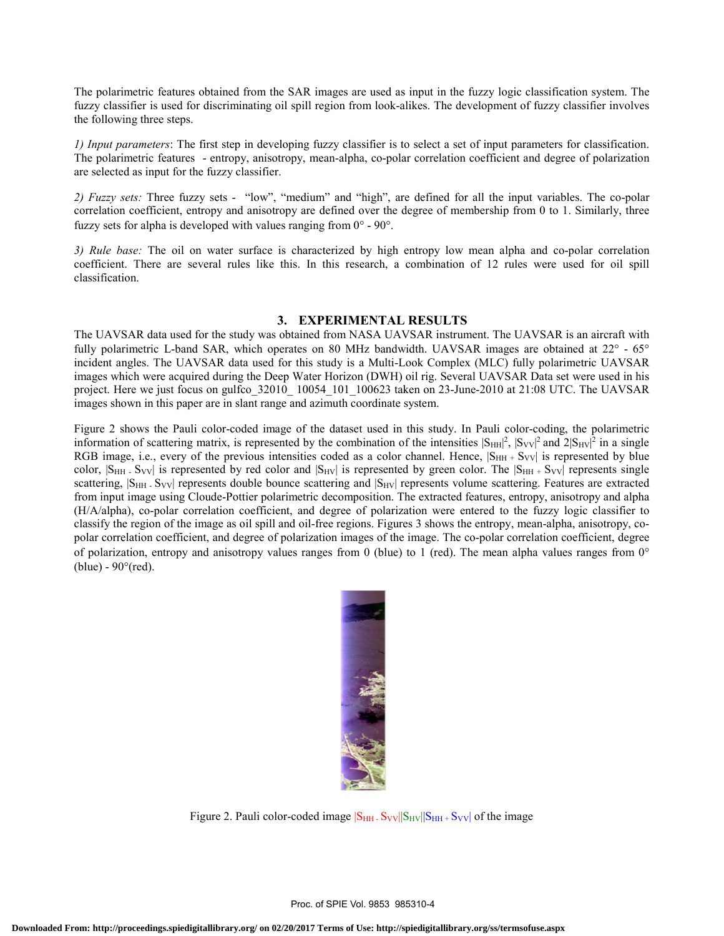The polarimetric features obtained from the SAR images are used as input in the fuzzy logic classification system. The fuzzy classifier is used for discriminating oil spill region from look-alikes. The development of fuzzy classifier involves the following three steps.

*1) Input parameters*: The first step in developing fuzzy classifier is to select a set of input parameters for classification. The polarimetric features - entropy, anisotropy, mean-alpha, co-polar correlation coefficient and degree of polarization are selected as input for the fuzzy classifier.

*2) Fuzzy sets:* Three fuzzy sets - "low", "medium" and "high", are defined for all the input variables. The co-polar correlation coefficient, entropy and anisotropy are defined over the degree of membership from 0 to 1. Similarly, three fuzzy sets for alpha is developed with values ranging from  $0^{\circ}$  -  $90^{\circ}$ .

*3) Rule base:* The oil on water surface is characterized by high entropy low mean alpha and co-polar correlation coefficient. There are several rules like this. In this research, a combination of 12 rules were used for oil spill classification.

# **3. EXPERIMENTAL RESULTS**

The UAVSAR data used for the study was obtained from NASA UAVSAR instrument. The UAVSAR is an aircraft with fully polarimetric L-band SAR, which operates on 80 MHz bandwidth. UAVSAR images are obtained at  $22^{\circ}$  - 65 $^{\circ}$ incident angles. The UAVSAR data used for this study is a Multi-Look Complex (MLC) fully polarimetric UAVSAR images which were acquired during the Deep Water Horizon (DWH) oil rig. Several UAVSAR Data set were used in his project. Here we just focus on gulfco 32010 10054 101 100623 taken on 23-June-2010 at 21:08 UTC. The UAVSAR images shown in this paper are in slant range and azimuth coordinate system.

Figure 2 shows the Pauli color-coded image of the dataset used in this study. In Pauli color-coding, the polarimetric information of scattering matrix, is represented by the combination of the intensities  $|S_{HH}|^2$ ,  $|S_{VV}|^2$  and  $2|S_{HV}|^2$  in a single RGB image, i.e., every of the previous intensities coded as a color channel. Hence,  $|S_{HH} + S_{VV}|$  is represented by blue color,  $|S_{HH}$ . S<sub>VV</sub> is represented by red color and  $|S_{HV}|$  is represented by green color. The  $|S_{HH}$  + S<sub>VV</sub> represents single scattering,  $|S_{HH}$ . Svv| represents double bounce scattering and  $|S_{HV}|$  represents volume scattering. Features are extracted from input image using Cloude-Pottier polarimetric decomposition. The extracted features, entropy, anisotropy and alpha (H/A/alpha), co-polar correlation coefficient, and degree of polarization were entered to the fuzzy logic classifier to classify the region of the image as oil spill and oil-free regions. Figures 3 shows the entropy, mean-alpha, anisotropy, copolar correlation coefficient, and degree of polarization images of the image. The co-polar correlation coefficient, degree of polarization, entropy and anisotropy values ranges from 0 (blue) to 1 (red). The mean alpha values ranges from  $0^{\circ}$  $(blue) - 90^{\circ} (red)$ .



Figure 2. Pauli color-coded image  $|S_{HH}$ .  $S_{VV}||S_{HW}||S_{HH}$  +  $S_{VV}$  of the image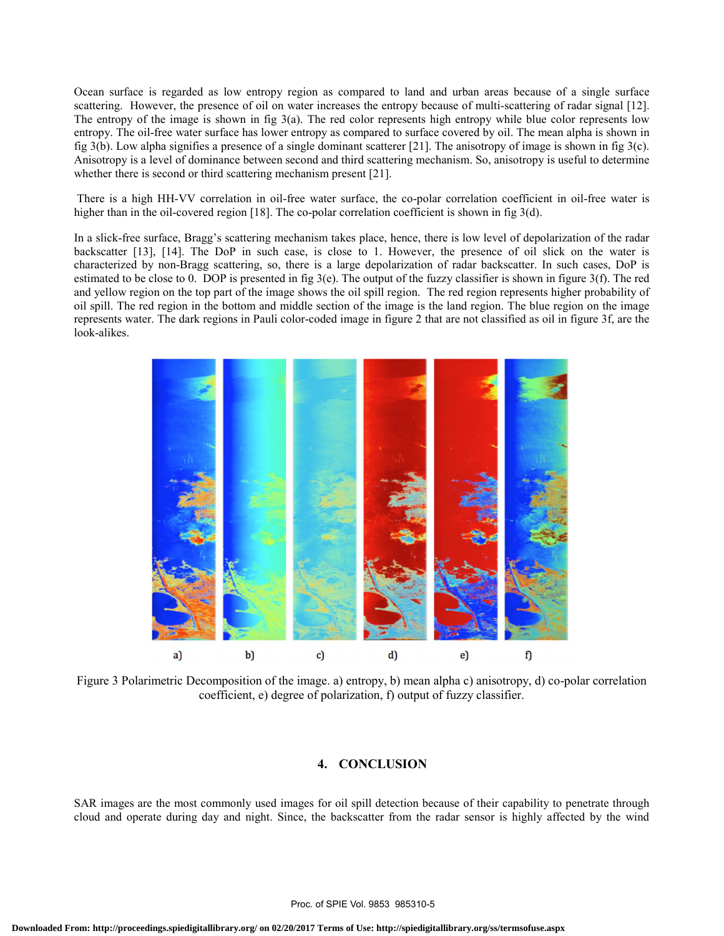Ocean surface is regarded as low entropy region as compared to land and urban areas because of a single surface scattering. However, the presence of oil on water increases the entropy because of multi-scattering of radar signal [12]. The entropy of the image is shown in fig  $3(a)$ . The red color represents high entropy while blue color represents low entropy. The oil-free water surface has lower entropy as compared to surface covered by oil. The mean alpha is shown in fig 3(b). Low alpha signifies a presence of a single dominant scatterer [21]. The anisotropy of image is shown in fig 3(c). Anisotropy is a level of dominance between second and third scattering mechanism. So, anisotropy is useful to determine whether there is second or third scattering mechanism present [21].

 There is a high HH-VV correlation in oil-free water surface, the co-polar correlation coefficient in oil-free water is higher than in the oil-covered region [18]. The co-polar correlation coefficient is shown in fig 3(d).

In a slick-free surface, Bragg's scattering mechanism takes place, hence, there is low level of depolarization of the radar backscatter [13], [14]. The DoP in such case, is close to 1. However, the presence of oil slick on the water is characterized by non-Bragg scattering, so, there is a large depolarization of radar backscatter. In such cases, DoP is estimated to be close to 0. DOP is presented in fig 3(e). The output of the fuzzy classifier is shown in figure 3(f). The red and yellow region on the top part of the image shows the oil spill region. The red region represents higher probability of oil spill. The red region in the bottom and middle section of the image is the land region. The blue region on the image represents water. The dark regions in Pauli color-coded image in figure 2 that are not classified as oil in figure 3f, are the look-alikes.



Figure 3 Polarimetric Decomposition of the image. a) entropy, b) mean alpha c) anisotropy, d) co-polar correlation coefficient, e) degree of polarization, f) output of fuzzy classifier.

# **4. CONCLUSION**

SAR images are the most commonly used images for oil spill detection because of their capability to penetrate through cloud and operate during day and night. Since, the backscatter from the radar sensor is highly affected by the wind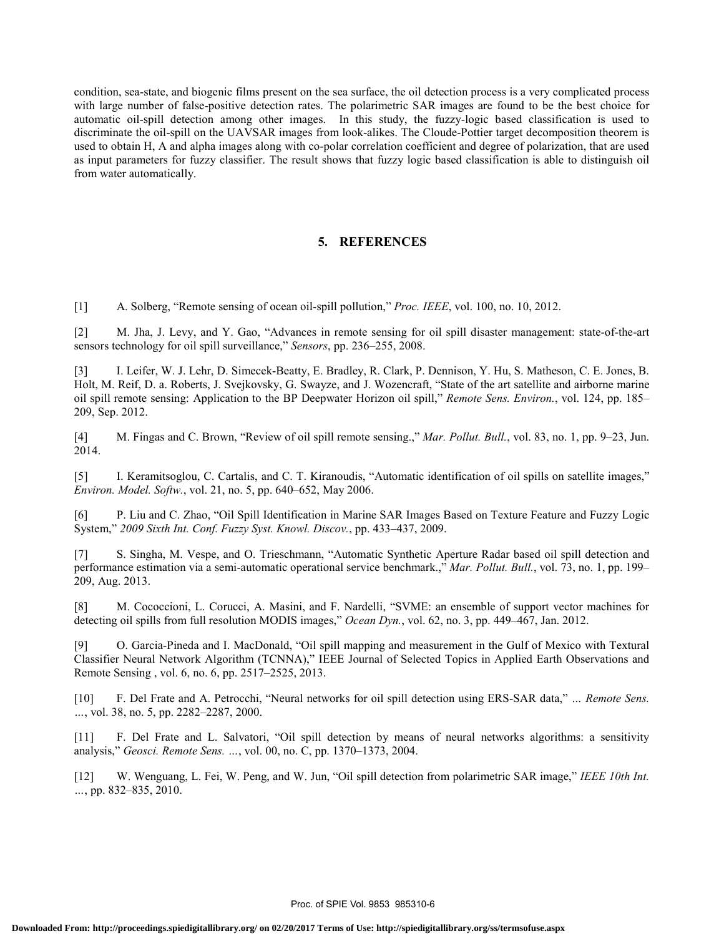condition, sea-state, and biogenic films present on the sea surface, the oil detection process is a very complicated process with large number of false-positive detection rates. The polarimetric SAR images are found to be the best choice for automatic oil-spill detection among other images. In this study, the fuzzy-logic based classification is used to discriminate the oil-spill on the UAVSAR images from look-alikes. The Cloude-Pottier target decomposition theorem is used to obtain H, A and alpha images along with co-polar correlation coefficient and degree of polarization, that are used as input parameters for fuzzy classifier. The result shows that fuzzy logic based classification is able to distinguish oil from water automatically.

# **5. REFERENCES**

[1] A. Solberg, "Remote sensing of ocean oil-spill pollution," *Proc. IEEE*, vol. 100, no. 10, 2012.

[2] M. Jha, J. Levy, and Y. Gao, "Advances in remote sensing for oil spill disaster management: state-of-the-art sensors technology for oil spill surveillance," *Sensors*, pp. 236–255, 2008.

[3] I. Leifer, W. J. Lehr, D. Simecek-Beatty, E. Bradley, R. Clark, P. Dennison, Y. Hu, S. Matheson, C. E. Jones, B. Holt, M. Reif, D. a. Roberts, J. Svejkovsky, G. Swayze, and J. Wozencraft, "State of the art satellite and airborne marine oil spill remote sensing: Application to the BP Deepwater Horizon oil spill," *Remote Sens. Environ.*, vol. 124, pp. 185– 209, Sep. 2012.

[4] M. Fingas and C. Brown, "Review of oil spill remote sensing.," *Mar. Pollut. Bull.*, vol. 83, no. 1, pp. 9–23, Jun. 2014.

[5] I. Keramitsoglou, C. Cartalis, and C. T. Kiranoudis, "Automatic identification of oil spills on satellite images," *Environ. Model. Softw.*, vol. 21, no. 5, pp. 640–652, May 2006.

[6] P. Liu and C. Zhao, "Oil Spill Identification in Marine SAR Images Based on Texture Feature and Fuzzy Logic System," *2009 Sixth Int. Conf. Fuzzy Syst. Knowl. Discov.*, pp. 433–437, 2009.

[7] S. Singha, M. Vespe, and O. Trieschmann, "Automatic Synthetic Aperture Radar based oil spill detection and performance estimation via a semi-automatic operational service benchmark.," *Mar. Pollut. Bull.*, vol. 73, no. 1, pp. 199– 209, Aug. 2013.

[8] M. Cococcioni, L. Corucci, A. Masini, and F. Nardelli, "SVME: an ensemble of support vector machines for detecting oil spills from full resolution MODIS images," *Ocean Dyn.*, vol. 62, no. 3, pp. 449–467, Jan. 2012.

[9] O. Garcia-Pineda and I. MacDonald, "Oil spill mapping and measurement in the Gulf of Mexico with Textural Classifier Neural Network Algorithm (TCNNA)," IEEE Journal of Selected Topics in Applied Earth Observations and Remote Sensing , vol. 6, no. 6, pp. 2517–2525, 2013.

[10] F. Del Frate and A. Petrocchi, "Neural networks for oil spill detection using ERS-SAR data," *… Remote Sens. …*, vol. 38, no. 5, pp. 2282–2287, 2000.

[11] F. Del Frate and L. Salvatori, "Oil spill detection by means of neural networks algorithms: a sensitivity analysis," *Geosci. Remote Sens. …*, vol. 00, no. C, pp. 1370–1373, 2004.

[12] W. Wenguang, L. Fei, W. Peng, and W. Jun, "Oil spill detection from polarimetric SAR image," *IEEE 10th Int. …*, pp. 832–835, 2010.